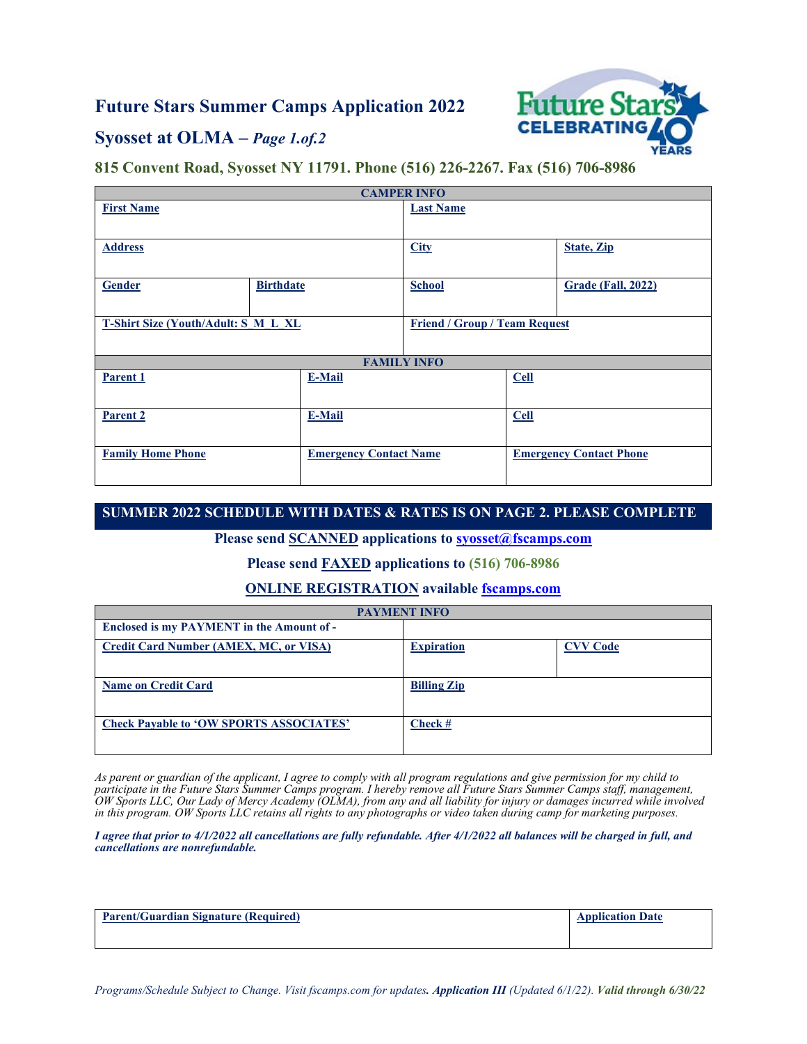## **Future Stars Summer Camps Application 2022**



### **Syosset at OLMA –** *Page 1.of.2*

**815 Convent Road, Syosset NY 11791. Phone (516) 226-2267. Fax (516) 706-8986**

| <b>CAMPER INFO</b>                                        |                  |                                      |                  |                                |                           |  |  |
|-----------------------------------------------------------|------------------|--------------------------------------|------------------|--------------------------------|---------------------------|--|--|
| <b>First Name</b>                                         |                  |                                      | <b>Last Name</b> |                                |                           |  |  |
|                                                           |                  |                                      |                  |                                |                           |  |  |
| <b>Address</b>                                            |                  |                                      | <b>City</b>      |                                | <b>State, Zip</b>         |  |  |
|                                                           |                  |                                      |                  |                                |                           |  |  |
| <b>Gender</b>                                             | <b>Birthdate</b> |                                      | <b>School</b>    |                                | <b>Grade (Fall, 2022)</b> |  |  |
|                                                           |                  |                                      |                  |                                |                           |  |  |
| <b>T-Shirt Size (Youth/Adult: S M L XL</b>                |                  | <b>Friend / Group / Team Request</b> |                  |                                |                           |  |  |
|                                                           |                  |                                      |                  |                                |                           |  |  |
| <b>FAMILY INFO</b>                                        |                  |                                      |                  |                                |                           |  |  |
| <b>Parent 1</b>                                           |                  | <b>E-Mail</b>                        |                  | <b>Cell</b>                    |                           |  |  |
|                                                           |                  |                                      |                  |                                |                           |  |  |
| <b>Parent 2</b>                                           |                  | E-Mail                               |                  | <b>Cell</b>                    |                           |  |  |
|                                                           |                  |                                      |                  |                                |                           |  |  |
| <b>Family Home Phone</b><br><b>Emergency Contact Name</b> |                  |                                      |                  | <b>Emergency Contact Phone</b> |                           |  |  |
|                                                           |                  |                                      |                  |                                |                           |  |  |

**SUMMER 2022 SCHEDULE WITH DATES & RATES IS ON PAGE 2. PLEASE COMPLETE**

**Please send SCANNED applications to [syosset@fscamps.com](mailto:syosset@fscamps.com)**

**Please send FAXED applications to (516) 706-8986**

### **ONLINE REGISTRATION available [fscamps.com](http://www.fscamps.com/)**

| <b>PAYMENT INFO</b>                              |                    |                 |  |  |  |  |
|--------------------------------------------------|--------------------|-----------------|--|--|--|--|
| <b>Enclosed is my PAYMENT in the Amount of -</b> |                    |                 |  |  |  |  |
| <b>Credit Card Number (AMEX, MC, or VISA)</b>    | <b>Expiration</b>  | <b>CVV Code</b> |  |  |  |  |
| <b>Name on Credit Card</b>                       | <b>Billing Zip</b> |                 |  |  |  |  |
| <b>Check Payable to 'OW SPORTS ASSOCIATES'</b>   | Check #            |                 |  |  |  |  |

*As parent or guardian of the applicant, I agree to comply with all program regulations and give permission for my child to participate in the Future Stars Summer Camps program. I hereby remove all Future Stars Summer Camps staff, management, OW Sports LLC, Our Lady of Mercy Academy (OLMA), from any and all liability for injury or damages incurred while involved in this program. OW Sports LLC retains all rights to any photographs or video taken during camp for marketing purposes.* 

*I agree that prior to 4/1/2022 all cancellations are fully refundable. After 4/1/2022 all balances will be charged in full, and cancellations are nonrefundable.*

| <b>Parent/Guardian Signature (Required)</b> | <b>Application Date</b> |
|---------------------------------------------|-------------------------|
|                                             |                         |